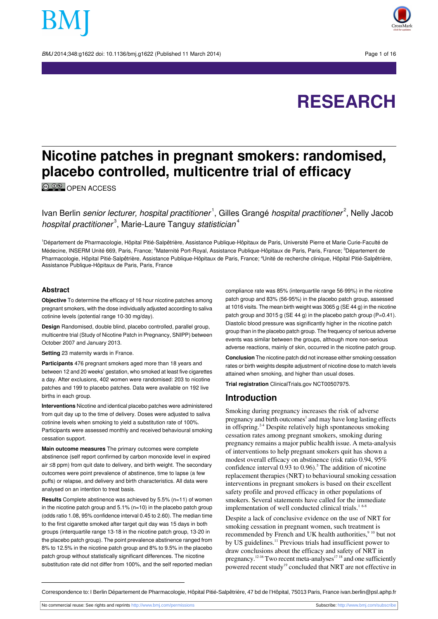BMJ 2014:348:g1622 doi: 10.1136/bmi.g1622 (Published 11 March 2014) Page 1 of 16



# **RESEARCH**

# **Nicotine patches in pregnant smokers: randomised, placebo controlled, multicentre trial of efficacy**

**C**  $\overline{O}$  **OPEN [ACCESS](http://creativecommons.org/licenses/by-nc/3.0/)** 

Ivan Berlin *senior lecturer, hospital practitioner*<sup>1</sup>, Gilles Grangé *hospital practitioner<sup>2</sup>,* Nelly Jacob hospital practitioner<sup>3</sup>, Marie-Laure Tanguy statistician<sup>4</sup>

<sup>1</sup>Département de Pharmacologie, Hôpital Pitié-Salpêtrière, Assistance Publique-Hôpitaux de Paris, Université Pierre et Marie Curie-Faculté de Médecine, INSERM Unité 669, Paris, France; <sup>2</sup>Maternité Port-Royal, Assistance Publique-Hôpitaux de Paris, Paris, France; <sup>3</sup>Département de Pharmacologie, Hôpital Pitié-Salpêtrière, Assistance Publique-Hôpitaux de Paris, France; <sup>4</sup>Unité de recherche clinique, Hôpital Pitié-Salpêtrière, Assistance Publique-Hôpitaux de Paris, Paris, France

#### **Abstract**

**Objective** To determine the efficacy of 16 hour nicotine patches among pregnant smokers, with the dose individually adjusted according to saliva cotinine levels (potential range 10-30 mg/day).

**Design** Randomised, double blind, placebo controlled, parallel group, multicentre trial (Study of Nicotine Patch in Pregnancy, SNIPP) between October 2007 and January 2013.

**Setting** 23 maternity wards in France.

**Participants** 476 pregnant smokers aged more than 18 years and between 12 and 20 weeks' gestation, who smoked at least five cigarettes a day. After exclusions, 402 women were randomised: 203 to nicotine patches and 199 to placebo patches. Data were available on 192 live births in each group.

**Interventions** Nicotine and identical placebo patches were administered from quit day up to the time of delivery. Doses were adjusted to saliva cotinine levels when smoking to yield a substitution rate of 100%. Participants were assessed monthly and received behavioural smoking cessation support.

**Main outcome measures** The primary outcomes were complete abstinence (self report confirmed by carbon monoxide level in expired air ≤8 ppm) from quit date to delivery, and birth weight. The secondary outcomes were point prevalence of abstinence, time to lapse (a few puffs) or relapse, and delivery and birth characteristics. All data were analysed on an intention to treat basis.

**Results** Complete abstinence was achieved by 5.5% (n=11) of women in the nicotine patch group and  $5.1\%$  (n=10) in the placebo patch group (odds ratio 1.08, 95% confidence interval 0.45 to 2.60). The median time to the first cigarette smoked after target quit day was 15 days in both groups (interquartile range 13-18 in the nicotine patch group, 13-20 in the placebo patch group). The point prevalence abstinence ranged from 8% to 12.5% in the nicotine patch group and 8% to 9.5% in the placebo patch group without statistically significant differences. The nicotine substitution rate did not differ from 100%, and the self reported median compliance rate was 85% (interquartile range 56-99%) in the nicotine patch group and 83% (56-95%) in the placebo patch group, assessed at 1016 visits. The mean birth weight was 3065 g (SE 44 g) in the nicotine patch group and 3015 g (SE 44 g) in the placebo patch group (P=0.41). Diastolic blood pressure was significantly higher in the nicotine patch group than in the placebo patch group. The frequency of serious adverse events was similar between the groups, although more non-serious adverse reactions, mainly of skin, occurred in the nicotine patch group.

**Conclusion** The nicotine patch did not increase either smoking cessation rates or birth weights despite adjustment of nicotine dose to match levels attained when smoking, and higher than usual doses.

**Trial registration** ClinicalTrials.gov NCT00507975.

#### **Introduction**

Smoking during pregnancy increases the risk of adverse pregnancy and birth outcomes<sup>1</sup> and may have long lasting effects in offspring.2-4 Despite relatively high spontaneous smoking cessation rates among pregnant smokers, smoking during pregnancy remains a major public health issue. A meta-analysis of interventions to help pregnant smokers quit has shown a modest overall efficacy on abstinence (risk ratio 0.94, 95% confidence interval  $0.93$  to  $0.96$ ).<sup>5</sup> The addition of nicotine replacement therapies (NRT) to behavioural smoking cessation interventions in pregnant smokers is based on their excellent safety profile and proved efficacy in other populations of smokers. Several statements have called for the immediate implementation of well conducted clinical trials. $16-8$ 

Despite a lack of conclusive evidence on the use of NRT for smoking cessation in pregnant women, such treatment is recommended by French and UK health authorities,<sup>9 10</sup> but not by US guidelines.<sup>11</sup> Previous trials had insufficient power to draw conclusions about the efficacy and safety of NRT in pregnancy.<sup>12-16</sup> Two recent meta-analyses<sup>17 18</sup> and one sufficiently powered recent study<sup>19</sup> concluded that NRT are not effective in

Correspondence to: I Berlin Département de Pharmacologie, Hôpital Pitié-Salpêtrière, 47 bd de l'Hôpital, 75013 Paris, France ivan.berlin@psl.aphp.fr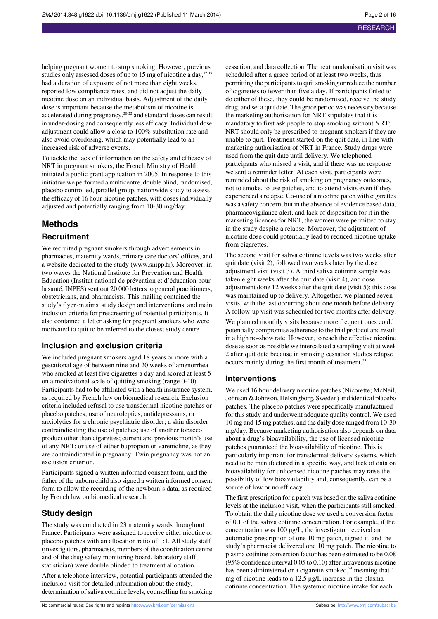helping pregnant women to stop smoking. However, previous studies only assessed doses of up to 15 mg of nicotine a day, $12^{19}$ had a duration of exposure of not more than eight weeks, reported low compliance rates, and did not adjust the daily nicotine dose on an individual basis. Adjustment of the daily dose is important because the metabolism of nicotine is accelerated during pregnancy,20-22 and standard doses can result in under-dosing and consequently less efficacy. Individual dose adjustment could allow a close to 100% substitution rate and also avoid overdosing, which may potentially lead to an increased risk of adverse events.

To tackle the lack of information on the safety and efficacy of NRT in pregnant smokers, the French Ministry of Health initiated a public grant application in 2005. In response to this initiative we performed a multicentre, double blind, randomised, placebo controlled, parallel group, nationwide study to assess the efficacy of 16 hour nicotine patches, with doses individually adjusted and potentially ranging from 10-30 mg/day.

## **Methods**

#### **Recruitment**

We recruited pregnant smokers through advertisements in pharmacies, maternity wards, primary care doctors' offices, and a website dedicated to the study ([www.snipp.fr\)](http://www.snipp.fr/). Moreover, in two waves the National Institute for Prevention and Health Education (Institut national de prévention et d'éducation pour la santé, INPES) sent out 20 000 letters to general practitioners, obstetricians, and pharmacists. This mailing contained the study's flyer on aims, study design and interventions, and main inclusion criteria for prescreening of potential participants. It also contained a letter asking for pregnant smokers who were motivated to quit to be referred to the closest study centre.

#### **Inclusion and exclusion criteria**

We included pregnant smokers aged 18 years or more with a gestational age of between nine and 20 weeks of amenorrhea who smoked at least five cigarettes a day and scored at least 5 on a motivational scale of quitting smoking (range 0-10). Participants had to be affiliated with a health insurance system, as required by French law on biomedical research. Exclusion criteria included refusal to use transdermal nicotine patches or placebo patches; use of neuroleptics, antidepressants, or anxiolytics for a chronic psychiatric disorder; a skin disorder contraindicating the use of patches; use of another tobacco product other than cigarettes; current and previous month's use of any NRT; or use of either bupropion or varenicline, as they are contraindicated in pregnancy. Twin pregnancy was not an exclusion criterion.

Participants signed a written informed consent form, and the father of the unborn child also signed a written informed consent form to allow the recording of the newborn's data, as required by French law on biomedical research.

#### **Study design**

The study was conducted in 23 maternity wards throughout France. Participants were assigned to receive either nicotine or placebo patches with an allocation ratio of 1:1. All study staff (investigators, pharmacists, members of the coordination centre and of the drug safety monitoring board, laboratory staff, statistician) were double blinded to treatment allocation.

After a telephone interview, potential participants attended the inclusion visit for detailed information about the study, determination of saliva cotinine levels, counselling for smoking cessation, and data collection. The next randomisation visit was scheduled after a grace period of at least two weeks, thus permitting the participants to quit smoking or reduce the number of cigarettes to fewer than five a day. If participants failed to do either of these, they could be randomised, receive the study drug, and set a quit date. The grace period was necessary because the marketing authorisation for NRT stipulates that it is mandatory to first ask people to stop smoking without NRT; NRT should only be prescribed to pregnant smokers if they are unable to quit. Treatment started on the quit date, in line with marketing authorisation of NRT in France. Study drugs were used from the quit date until delivery. We telephoned participants who missed a visit, and if there was no response we sent a reminder letter. At each visit, participants were reminded about the risk of smoking on pregnancy outcomes, not to smoke, to use patches, and to attend visits even if they experienced a relapse. Co-use of a nicotine patch with cigarettes was a safety concern, but in the absence of evidence based data, pharmacovigilance alert, and lack of disposition for it in the marketing licences for NRT, the women were permitted to stay in the study despite a relapse. Moreover, the adjustment of nicotine dose could potentially lead to reduced nicotine uptake from cigarettes.

The second visit for saliva cotinine levels was two weeks after quit date (visit 2), followed two weeks later by the dose adjustment visit (visit 3). A third saliva cotinine sample was taken eight weeks after the quit date (visit 4), and dose adjustment done 12 weeks after the quit date (visit 5); this dose was maintained up to delivery. Altogether, we planned seven visits, with the last occurring about one month before delivery. A follow-up visit was scheduled for two months after delivery.

We planned monthly visits because more frequent ones could potentially compromise adherence to the trial protocol and result in a high no-show rate. However, to reach the effective nicotine dose as soon as possible we intercalated a sampling visit at week 2 after quit date because in smoking cessation studies relapse occurs mainly during the first month of treatment.<sup>23</sup>

#### **Interventions**

We used 16 hour delivery nicotine patches (Nicorette; McNeil, Johnson & Johnson, Helsingborg, Sweden) and identical placebo patches. The placebo patches were specifically manufactured for this study and underwent adequate quality control. We used 10 mg and 15 mg patches, and the daily dose ranged from 10-30 mg/day. Because marketing authorisation also depends on data about a drug's bioavailability, the use of licensed nicotine patches guaranteed the bioavailability of nicotine. This is particularly important for transdermal delivery systems, which need to be manufactured in a specific way, and lack of data on bioavailability for unlicensed nicotine patches may raise the possibility of low bioavailability and, consequently, can be a source of low or no efficacy.

The first prescription for a patch was based on the saliva cotinine levels at the inclusion visit, when the participants still smoked. To obtain the daily nicotine dose we used a conversion factor of 0.1 of the saliva cotinine concentration. For example, if the concentration was 100 µg/L, the investigator received an automatic prescription of one 10 mg patch, signed it, and the study's pharmacist delivered one 10 mg patch. The nicotine to plasma cotinine conversion factor has been estimated to be 0.08 (95% confidence interval 0.05 to 0.10) after intravenous nicotine has been administered or a cigarette smoked, $24$  meaning that 1 mg of nicotine leads to a 12.5 µg/L increase in the plasma cotinine concentration. The systemic nicotine intake for each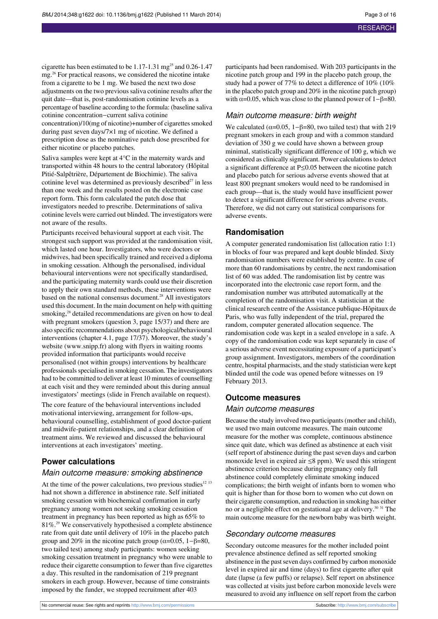cigarette has been estimated to be  $1.17$ - $1.31$  mg<sup>25</sup> and  $0.26$ - $1.47$ mg.<sup>26</sup> For practical reasons, we considered the nicotine intake from a cigarette to be 1 mg. We based the next two dose adjustments on the two previous saliva cotinine results after the quit date—that is, post-randomisation cotinine levels as a percentage of baseline according to the formula: (baseline saliva cotinine concentration−current saliva cotinine  $concentration)/10(mg of nicotine)+number of eigenettes smoothed$ during past seven days/7×1 mg of nicotine. We defined a prescription dose as the nominative patch dose prescribed for either nicotine or placebo patches.

Saliva samples were kept at 4°C in the maternity wards and transported within 48 hours to the central laboratory (Hôpital Pitié-Salpêtrière, Département de Biochimie). The saliva cotinine level was determined as previously described $27$  in less than one week and the results posted on the electronic case report form. This form calculated the patch dose that investigators needed to prescribe. Determinations of saliva cotinine levels were carried out blinded. The investigators were not aware of the results.

Participants received behavioural support at each visit. The strongest such support was provided at the randomisation visit, which lasted one hour. Investigators, who were doctors or midwives, had been specifically trained and received a diploma in smoking cessation. Although the personalised, individual behavioural interventions were not specifically standardised, and the participating maternity wards could use their discretion to apply their own standard methods, these interventions were based on the national consensus document.<sup>28</sup> All investigators used this document. In the main document on help with quitting smoking,<sup>28</sup> detailed recommendations are given on how to deal with pregnant smokers (question 3, page 15/37) and there are also specific recommendations about psychological/behavioural interventions (chapter 4.1, page 17/37). Moreover, the study's website [\(www.snipp.fr\)](http://www.snipp.fr/) along with flyers in waiting rooms provided information that participants would receive personalised (not within groups) interventions by healthcare professionals specialised in smoking cessation. The investigators had to be committed to deliver at least 10 minutes of counselling at each visit and they were reminded about this during annual investigators' meetings (slide in French available on request).

The core feature of the behavioural interventions included motivational interviewing, arrangement for follow-ups, behavioural counselling, establishment of good doctor-patient and midwife-patient relationships, and a clear definition of treatment aims. We reviewed and discussed the behavioural interventions at each investigators' meeting.

### **Power calculations**

#### Main outcome measure: smoking abstinence

At the time of the power calculations, two previous studies $12 \text{ } 13$ had not shown a difference in abstinence rate. Self initiated smoking cessation with biochemical confirmation in early pregnancy among women not seeking smoking cessation treatment in pregnancy has been reported as high as 65% to 81%.<sup>29</sup> We conservatively hypothesised a complete abstinence rate from quit date until delivery of 10% in the placebo patch group and 20% in the nicotine patch group ( $\alpha$ =0.05, 1– $\beta$ =80, two tailed test) among study participants: women seeking smoking cessation treatment in pregnancy who were unable to reduce their cigarette consumption to fewer than five cigarettes a day. This resulted in the randomisation of 219 pregnant smokers in each group. However, because of time constraints imposed by the funder, we stopped recruitment after 403

participants had been randomised. With 203 participants in the nicotine patch group and 199 in the placebo patch group, the study had a power of 77% to detect a difference of 10% (10% in the placebo patch group and 20% in the nicotine patch group) with  $\alpha$ =0.05, which was close to the planned power of 1–β=80.

#### Main outcome measure: birth weight

We calculated ( $\alpha$ =0.05, 1–β=80, two tailed test) that with 219 pregnant smokers in each group and with a common standard deviation of 350 g we could have shown a between group minimal, statistically significant difference of 100 g, which we considered as clinically significant. Power calculations to detect a significant difference at P≤0.05 between the nicotine patch and placebo patch for serious adverse events showed that at least 800 pregnant smokers would need to be randomised in each group—that is, the study would have insufficient power to detect a significant difference for serious adverse events. Therefore, we did not carry out statistical comparisons for adverse events.

#### **Randomisation**

A computer generated randomisation list (allocation ratio 1:1) in blocks of four was prepared and kept double blinded. Sixty randomisation numbers were established by centre. In case of more than 60 randomisations by centre, the next randomisation list of 60 was added. The randomisation list by centre was incorporated into the electronic case report form, and the randomisation number was attributed automatically at the completion of the randomisation visit. A statistician at the clinical research centre of the Assistance publique-Hôpitaux de Paris, who was fully independent of the trial, prepared the random, computer generated allocation sequence. The randomisation code was kept in a sealed envelope in a safe. A copy of the randomisation code was kept separately in case of a serious adverse event necessitating exposure of a participant's group assignment. Investigators, members of the coordination centre, hospital pharmacists, and the study statistician were kept blinded until the code was opened before witnesses on 19 February 2013.

#### **Outcome measures**

#### Main outcome measures

Because the study involved two participants(mother and child), we used two main outcome measures. The main outcome measure for the mother was complete, continuous abstinence since quit date, which was defined as abstinence at each visit (self report of abstinence during the past seven days and carbon monoxide level in expired air ≤8 ppm). We used this stringent abstinence criterion because during pregnancy only full abstinence could completely eliminate smoking induced complications; the birth weight of infants born to women who quit is higher than for those born to women who cut down on their cigarette consumption, and reduction in smoking has either no or a negligible effect on gestational age at delivery.<sup>30 31</sup> The main outcome measure for the newborn baby was birth weight.

### Secondary outcome measures

Secondary outcome measures for the mother included point prevalence abstinence defined as self reported smoking abstinence in the past seven days confirmed by carbon monoxide level in expired air and time (days) to first cigarette after quit date (lapse (a few puffs) or relapse). Self report on abstinence was collected at visits just before carbon monoxide levels were measured to avoid any influence on self report from the carbon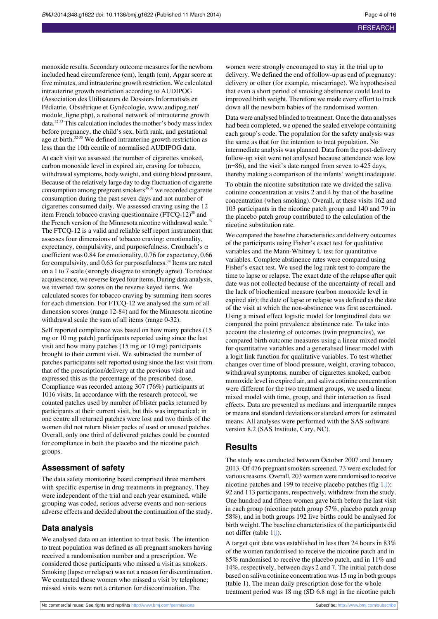monoxide results. Secondary outcome measures for the newborn included head circumference (cm), length (cm), Apgar score at five minutes, and intrauterine growth restriction. We calculated intrauterine growth restriction according to AUDIPOG (Association des Utilisateurs de Dossiers Informatisés en Pédiatrie, Obstétrique et Gynécologie, [www.audipog.net/](http://www.audipog.net/module_ligne.php) module ligne.php), a national network of intrauterine growth  $data$ <sup>32 33</sup> This calculation includes the mother's body mass index before pregnancy, the child's sex, birth rank, and gestational age at birth.<sup>32-35</sup> We defined intrauterine growth restriction as less than the 10th centile of normalised AUDIPOG data.

At each visit we assessed the number of cigarettes smoked, carbon monoxide level in expired air, craving for tobacco, withdrawal symptoms, body weight, and sitting blood pressure. Because of the relatively large day to day fluctuation of cigarette consumption among pregnant smokers<sup>36 37</sup> we recorded cigarette consumption during the past seven days and not number of cigarettes consumed daily. We assessed craving using the 12 item French tobacco craving questionnaire  $(FTCO-12)^{38}$  and the French version of the Minnesota nicotine withdrawal scale.<sup>39</sup> The FTCQ-12 is a valid and reliable self report instrument that assesses four dimensions of tobacco craving: emotionality, expectancy, compulsivity, and purposefulness. Cronbach's  $\alpha$ coefficient was 0.84 for emotionality, 0.76 for expectancy, 0.66 for compulsivity, and 0.63 for purposefulness.<sup>38</sup> Items are rated on a 1 to 7 scale (strongly disagree to strongly agree). To reduce acquiescence, we reverse keyed four items. During data analysis, we inverted raw scores on the reverse keyed items. We calculated scores for tobacco craving by summing item scores for each dimension. For FTCQ-12 we analysed the sum of all dimension scores (range 12-84) and for the Minnesota nicotine withdrawal scale the sum of all items (range 0-32).

Self reported compliance was based on how many patches (15 mg or 10 mg patch) participants reported using since the last visit and how many patches (15 mg or 10 mg) participants brought to their current visit. We subtracted the number of patches participants self reported using since the last visit from that of the prescription/delivery at the previous visit and expressed this as the percentage of the prescribed dose. Compliance was recorded among 307 (76%) participants at 1016 visits. In accordance with the research protocol, we counted patches used by number of blister packs returned by participants at their current visit, but this was impractical; in one centre all returned patches were lost and two thirds of the women did not return blister packs of used or unused patches. Overall, only one third of delivered patches could be counted for compliance in both the placebo and the nicotine patch groups.

#### **Assessment of safety**

The data safety monitoring board comprised three members with specific expertise in drug treatments in pregnancy. They were independent of the trial and each year examined, while grouping was coded, serious adverse events and non-serious adverse effects and decided about the continuation of the study.

### **Data analysis**

We analysed data on an intention to treat basis. The intention to treat population was defined as all pregnant smokers having received a randomisation number and a prescription. We considered those participants who missed a visit as smokers. Smoking (lapse or relapse) was not a reason for discontinuation. We contacted those women who missed a visit by telephone: missed visits were not a criterion for discontinuation. The

women were strongly encouraged to stay in the trial up to delivery. We defined the end of follow-up as end of pregnancy: delivery or other (for example, miscarriage). We hypothesised that even a short period of smoking abstinence could lead to improved birth weight. Therefore we made every effort to track down all the newborn babies of the randomised women.

Data were analysed blinded to treatment. Once the data analyses had been completed, we opened the sealed envelope containing each group's code. The population for the safety analysis was the same as that for the intention to treat population. No intermediate analysis was planned. Data from the post-delivery follow-up visit were not analysed because attendance was low (n=86), and the visit's date ranged from seven to 425 days, thereby making a comparison of the infants' weight inadequate.

To obtain the nicotine substitution rate we divided the saliva cotinine concentration at visits 2 and 4 by that of the baseline concentration (when smoking). Overall, at these visits 162 and 103 participants in the nicotine patch group and 140 and 79 in the placebo patch group contributed to the calculation of the nicotine substitution rate.

We compared the baseline characteristics and delivery outcomes of the participants using Fisher's exact test for qualitative variables and the Mann-Whitney U test for quantitative variables. Complete abstinence rates were compared using Fisher's exact test. We used the log rank test to compare the time to lapse or relapse. The exact date of the relapse after quit date was not collected because of the uncertainty of recall and the lack of biochemical measure (carbon monoxide level in expired air); the date of lapse or relapse was defined as the date of the visit at which the non-abstinence was first ascertained. Using a mixed effect logistic model for longitudinal data we compared the point prevalence abstinence rate. To take into account the clustering of outcomes (twin pregnancies), we compared birth outcome measures using a linear mixed model for quantitative variables and a generalised linear model with a logit link function for qualitative variables. To test whether changes over time of blood pressure, weight, craving tobacco, withdrawal symptoms, number of cigarettes smoked, carbon monoxide level in expired air, and saliva cotinine concentration were different for the two treatment groups, we used a linear mixed model with time, group, and their interaction as fixed effects. Data are presented as medians and interquartile ranges or means and standard deviations or standard errors for estimated means. All analyses were performed with the SAS software version 8.2 (SAS Institute, Cary, NC).

#### **Results**

The study was conducted between October 2007 and January 2013. Of 476 pregnant smokers screened, 73 were excluded for various reasons. Overall, 203 women were randomised to receive nicotine patches and 199 to receive placebo patches (fig  $1 \downarrow$ ); 92 and 113 participants, respectively, withdrew from the study. One hundred and fifteen women gave birth before the last visit in each group (nicotine patch group 57%, placebo patch group 58%), and in both groups 192 live births could be analysed for birth weight. The baseline characteristics of the participants did not differ (table 1[⇓](#page-8-0)).

A target quit date was established in less than 24 hours in 83% of the women randomised to receive the nicotine patch and in 85% randomised to receive the placebo patch, and in 11% and 14%, respectively, between days 2 and 7. The initial patch dose based on saliva cotinine concentration was 15 mg in both groups (table 1). The mean daily prescription dose for the whole treatment period was 18 mg (SD 6.8 mg) in the nicotine patch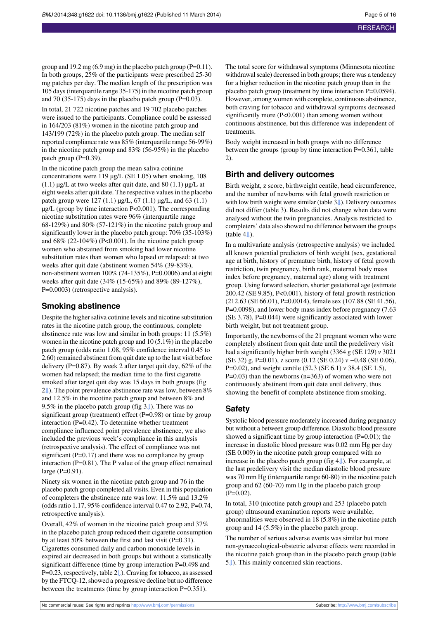group and  $19.2 \text{ mg}$  (6.9 mg) in the placebo patch group (P=0.11). In both groups, 25% of the participants were prescribed 25-30 mg patches per day. The median length of the prescription was 105 days(interquartile range 35-175) in the nicotine patch group and 70 (35-175) days in the placebo patch group ( $P=0.03$ ).

In total, 21 722 nicotine patches and 19 702 placebo patches were issued to the participants. Compliance could be assessed in 164/203 (81%) women in the nicotine patch group and 143/199 (72%) in the placebo patch group. The median self reported compliance rate was 85% (interquartile range 56-99%) in the nicotine patch group and 83% (56-95%) in the placebo patch group (P=0.39).

In the nicotine patch group the mean saliva cotinine concentrations were 119  $\mu$ g/L (SE 1.05) when smoking, 108  $(1.1) \mu g/L$  at two weeks after quit date, and 80  $(1.1) \mu g/L$  at eight weeks after quit date. The respective valuesin the placebo patch group were  $127 (1.1) \mu g/L$ ,  $67 (1.1) \mu g/L$ , and  $63 (1.1)$  $\mu$ g/L (group by time interaction P<0.001). The corresponding nicotine substitution rates were 96% (interquartile range 68-129%) and 80% (57-121%) in the nicotine patch group and significantly lower in the placebo patch group: 70% (35-103%) and  $68\%$  (22-104%) (P<0.001). In the nicotine patch group women who abstained from smoking had lower nicotine substitution rates than women who lapsed or relapsed: at two weeks after quit date (abstinent women 54% (39-83%), non-abstinent women 100% (74-135%), P=0.0006) and at eight weeks after quit date (34% (15-65%) and 89% (89-127%), P=0.0003) (retrospective analysis).

#### **Smoking abstinence**

Despite the higher saliva cotinine levels and nicotine substitution rates in the nicotine patch group, the continuous, complete abstinence rate was low and similar in both groups: 11 (5.5%) women in the nicotine patch group and 10 (5.1%) in the placebo patch group (odds ratio 1.08, 95% confidence interval 0.45 to 2.60) remained abstinent from quit date up to the last visit before delivery (P=0.87). By week 2 after target quit day, 62% of the women had relapsed; the median time to the first cigarette smoked after target quit day was 15 days in both groups (fig  $2 \cup$ ). The point prevalence abstinence rate was low, between 8% and 12.5% in the nicotine patch group and between 8% and 9.5% in the placebo patch group (fig 3[⇓\)](#page-15-0). There was no significant group (treatment) effect (P=0.98) or time by group interaction (P=0.42). To determine whether treatment compliance influenced point prevalence abstinence, we also included the previous week's compliance in this analysis (retrospective analysis). The effect of compliance was not significant  $(P=0.17)$  and there was no compliance by group interaction (P=0.81). The P value of the group effect remained large  $(P=0.91)$ .

Ninety six women in the nicotine patch group and 76 in the placebo patch group completed all visits. Even in this population of completers the abstinence rate was low: 11.5% and 13.2% (odds ratio 1.17, 95% confidence interval 0.47 to 2.92, P=0.74, retrospective analysis).

Overall, 42% of women in the nicotine patch group and 37% in the placebo patch group reduced their cigarette consumption by at least 50% between the first and last visit (P=0.31). Cigarettes consumed daily and carbon monoxide levels in expired air decreased in both groups but without a statistically significant difference (time by group interaction P=0.498 and P=0.23, respectively, table 2[⇓\)](#page-10-0). Craving for tobacco, as assessed by the FTCQ-12, showed a progressive decline but no difference between the treatments (time by group interaction P=0.351).

The total score for withdrawal symptoms (Minnesota nicotine withdrawal scale) decreased in both groups; there was a tendency for a higher reduction in the nicotine patch group than in the placebo patch group (treatment by time interaction P=0.0594). However, among women with complete, continuous abstinence, both craving for tobacco and withdrawal symptoms decreased significantly more (P<0.001) than among women without continuous abstinence, but this difference was independent of treatments.

Body weight increased in both groups with no difference between the groups (group by time interaction P=0.361, table 2).

## **Birth and delivery outcomes**

Birth weight, z score, birthweight centile, head circumference, and the number of newborns with fetal growth restriction or with low birth weight were similar (table 3 $\parallel$ ). Delivery outcomes did not differ (table 3). Results did not change when data were analysed without the twin pregnancies. Analysis restricted to completers' data also showed no difference between the groups  $(table 4**!**).$ 

In a multivariate analysis (retrospective analysis) we included all known potential predictors of birth weight (sex, gestational age at birth, history of premature birth, history of fetal growth restriction, twin pregnancy, birth rank, maternal body mass index before pregnancy, maternal age) along with treatment group. Using forward selection, shorter gestational age (estimate 200.42 (SE 9.85), P<0.001), history of fetal growth restriction (212.63 (SE 66.01), P=0.0014), female sex (107.88 (SE 41.56), P=0.0098), and lower body mass index before pregnancy (7.63 (SE 3.78), P=0.044) were significantly associated with lower birth weight, but not treatment group.

Importantly, the newborns of the 21 pregnant women who were completely abstinent from quit date until the predelivery visit had a significantly higher birth weight (3364 g (SE 129) *v* 3021 (SE 32) g, P=0.01), z score (0.12 (SE 0.24) *v* −0.48 (SE 0.06), P=0.02), and weight centile (52.3 (SE 6.1) *v* 38.4 (SE 1.5), P=0.03) than the newborns (n=363) of women who were not continuously abstinent from quit date until delivery, thus showing the benefit of complete abstinence from smoking.

#### **Safety**

Systolic blood pressure moderately increased during pregnancy but without a between group difference. Diastolic blood pressure showed a significant time by group interaction (P=0.01); the increase in diastolic blood pressure was 0.02 mm Hg per day (SE 0.009) in the nicotine patch group compared with no increase in the placebo patch group (fig 4[⇓\)](#page-15-1). For example, at the last predelivery visit the median diastolic blood pressure was 70 mm Hg (interquartile range 60-80) in the nicotine patch group and 62 (60-70) mm Hg in the placebo patch group  $(P=0.02)$ .

In total, 310 (nicotine patch group) and 253 (placebo patch group) ultrasound examination reports were available; abnormalities were observed in 18 (5.8%) in the nicotine patch group and 14 (5.5%) in the placebo patch group.

The number of serious adverse events was similar but more non-gynaecological-obstetric adverse effects were recorded in the nicotine patch group than in the placebo patch group (table [5⇓](#page-13-0)). This mainly concerned skin reactions.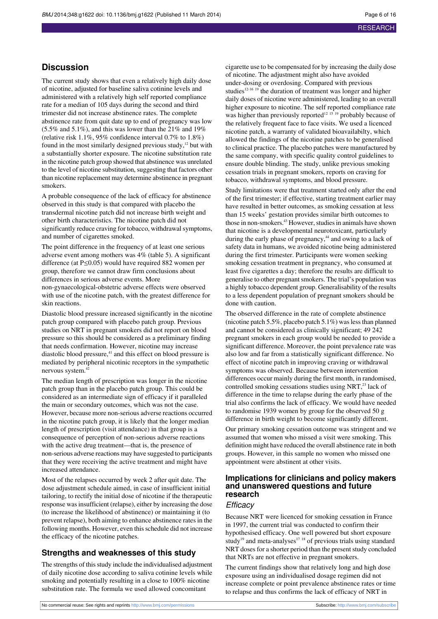## **Discussion**

The current study shows that even a relatively high daily dose of nicotine, adjusted for baseline saliva cotinine levels and administered with a relatively high self reported compliance rate for a median of 105 days during the second and third trimester did not increase abstinence rates. The complete abstinence rate from quit date up to end of pregnancy was low  $(5.5\%$  and  $5.1\%)$ , and this was lower than the 21% and 19% (relative risk 1.1%, 95% confidence interval 0.7% to 1.8%) found in the most similarly designed previous study, $12$  but with a substantially shorter exposure. The nicotine substitution rate in the nicotine patch group showed that abstinence was unrelated to the level of nicotine substitution, suggesting that factors other than nicotine replacement may determine abstinence in pregnant smokers.

A probable consequence of the lack of efficacy for abstinence observed in this study is that compared with placebo the transdermal nicotine patch did not increase birth weight and other birth characteristics. The nicotine patch did not significantly reduce craving for tobacco, withdrawal symptoms, and number of cigarettes smoked.

The point difference in the frequency of at least one serious adverse event among mothers was 4% (table 5). A significant difference (at P≤0.05) would have required 882 women per group, therefore we cannot draw firm conclusions about differences in serious adverse events. More non-gynaecological-obstetric adverse effects were observed with use of the nicotine patch, with the greatest difference for skin reactions.

Diastolic blood pressure increased significantly in the nicotine patch group compared with placebo patch group. Previous studies on NRT in pregnant smokers did not report on blood pressure so this should be considered as a preliminary finding that needs confirmation. However, nicotine may increase diastolic blood pressure,<sup>41</sup> and this effect on blood pressure is mediated by peripheral nicotinic receptors in the sympathetic nervous system.<sup>42</sup>

The median length of prescription was longer in the nicotine patch group than in the placebo patch group. This could be considered as an intermediate sign of efficacy if it paralleled the main or secondary outcomes, which was not the case. However, because more non-serious adverse reactions occurred in the nicotine patch group, it is likely that the longer median length of prescription (visit attendance) in that group is a consequence of perception of non-serious adverse reactions with the active drug treatment—that is, the presence of non-serious adverse reactions may have suggested to participants that they were receiving the active treatment and might have increased attendance.

Most of the relapses occurred by week 2 after quit date. The dose adjustment schedule aimed, in case of insufficient initial tailoring, to rectify the initial dose of nicotine if the therapeutic response wasinsufficient (relapse), either by increasing the dose (to increase the likelihood of abstinence) or maintaining it (to prevent relapse), both aiming to enhance abstinence rates in the following months. However, even this schedule did not increase the efficacy of the nicotine patches.

#### **Strengths and weaknesses of this study**

The strengths of this study include the individualised adjustment of daily nicotine dose according to saliva cotinine levels while smoking and potentially resulting in a close to 100% nicotine substitution rate. The formula we used allowed concomitant

cigarette use to be compensated for by increasing the daily dose of nicotine. The adjustment might also have avoided under-dosing or overdosing. Compared with previous studies<sup>12-16 19</sup> the duration of treatment was longer and higher daily doses of nicotine were administered, leading to an overall higher exposure to nicotine. The self reported compliance rate was higher than previously reported<sup>12 15 19</sup> probably because of the relatively frequent face to face visits. We used a licenced nicotine patch, a warranty of validated bioavailabilty, which allowed the findings of the nicotine patches to be generalised to clinical practice. The placebo patches were manufactured by the same company, with specific quality control guidelines to ensure double blinding. The study, unlike previous smoking cessation trials in pregnant smokers, reports on craving for tobacco, withdrawal symptoms, and blood pressure.

Study limitations were that treatment started only after the end of the first trimester; if effective, starting treatment earlier may have resulted in better outcomes, as smoking cessation at less than 15 weeks' gestation provides similar birth outcomes to those in non-smokers.<sup>43</sup> However, studies in animals have shown that nicotine is a developmental neurotoxicant, particularly during the early phase of pregnancy,<sup>44</sup> and owing to a lack of safety data in humans, we avoided nicotine being administered during the first trimester. Participants were women seeking smoking cessation treatment in pregnancy, who consumed at least five cigarettes a day; therefore the results are difficult to generalise to other pregnant smokers. The trial's population was a highly tobacco dependent group. Generalisability of the results to a less dependent population of pregnant smokers should be done with caution.

The observed difference in the rate of complete abstinence (nicotine patch 5.5%, placebo patch  $5.1\%$ ) was less than planned and cannot be considered as clinically significant; 49 242 pregnant smokers in each group would be needed to provide a significant difference. Moreover, the point prevalence rate was also low and far from a statistically significant difference. No effect of nicotine patch in improving craving or withdrawal symptoms was observed. Because between intervention differences occur mainly during the first month, in randomised, controlled smoking cessations studies using NRT,<sup>23</sup> lack of difference in the time to relapse during the early phase of the trial also confirms the lack of efficacy. We would have needed to randomise 1939 women by group for the observed 50 g difference in birth weight to become significantly different.

Our primary smoking cessation outcome was stringent and we assumed that women who missed a visit were smoking. This definition might have reduced the overall abstinence rate in both groups. However, in this sample no women who missed one appointment were abstinent at other visits.

### **Implications for clinicians and policy makers and unanswered questions and future research**

### Efficacy

Because NRT were licenced for smoking cessation in France in 1997, the current trial was conducted to confirm their hypothesised efficacy. One well powered but short exposure study<sup>19</sup> and meta-analyses<sup>17</sup><sup>18</sup> of previous trials using standard NRT doses for a shorter period than the present study concluded that NRTs are not effective in pregnant smokers.

The current findings show that relatively long and high dose exposure using an individualised dosage regimen did not increase complete or point prevalence abstinence rates or time to relapse and thus confirms the lack of efficacy of NRT in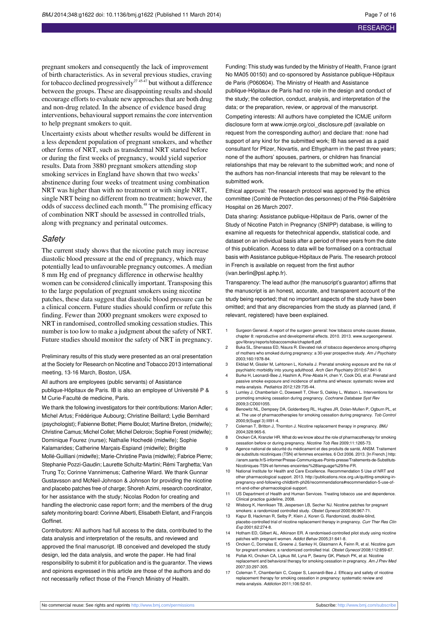pregnant smokers and consequently the lack of improvement of birth characteristics. As in several previous studies, craving for tobacco declined progressively<sup>27 45-47</sup> but without a difference between the groups. These are disappointing results and should encourage efforts to evaluate new approaches that are both drug and non-drug related. In the absence of evidence based drug interventions, behavioural support remains the core intervention to help pregnant smokers to quit.

Uncertainty exists about whether results would be different in a less dependent population of pregnant smokers, and whether other forms of NRT, such as transdermal NRT started before or during the first weeks of pregnancy, would yield superior results. Data from 3880 pregnant smokers attending stop smoking services in England have shown that two weeks' abstinence during four weeks of treatment using combination NRT was higher than with no treatment or with single NRT, single NRT being no different from no treatment; however, the odds of success declined each month.<sup>48</sup> The promising efficacy of combination NRT should be assessed in controlled trials, along with pregnancy and perinatal outcomes.

#### **Safety**

The current study shows that the nicotine patch may increase diastolic blood pressure at the end of pregnancy, which may potentially lead to unfavourable pregnancy outcomes. A median 8 mm Hg end of pregnancy difference in otherwise healthy women can be considered clinically important. Transposing this to the large population of pregnant smokers using nicotine patches, these data suggest that diastolic blood pressure can be a clinical concern. Future studies should confirm or refute this finding. Fewer than 2000 pregnant smokers were exposed to NRT in randomised, controlled smoking cessation studies. This number is too low to make a judgment about the safety of NRT. Future studies should monitor the safety of NRT in pregnancy.

Preliminary results of this study were presented as an oral presentation at the Society for Research on Nicotine and Tobacco 2013 international meeting, 13-16 March, Boston, USA.

All authors are employees (public servants) of Assistance publique-Hôpitaux de Paris. IB is also an employee of Université P & M Curie-Faculté de medicine, Paris.

We thank the following investigators for their contributions: Marion Adler; Michel Artus; Frédérique Aubourg; Christine Beillard; Lydie Bernhard (psychologist); Fabienne Bottet; Pierre Boulot; Martine Breton, (midwife); Christine Camus; Michel Collet; Michel Delcroix; Sophie Forest (midwife); Dominique Fourez (nurse); Nathalie Hochedé (midwife); Sophie Kalamarides; Catherine Marçais-Espiand (midwife); Brigitte Mollé-Guilliani (midwife); Marie-Christine Pavia (midwife); Fabrice Pierre; Stephanie Pozzi-Gaudin; Laurette Schultz-Martini; Rémi Targhetta; Van Trung To; Corinne Vannimenus; Catherine Wiard. We thank Gunnar Gustavsson and McNeil-Johnson & Johnson for providing the nicotine and placebo patches free of charge; Shoreh Azimi, research coordinator, for her assistance with the study; Nicolas Rodon for creating and handling the electronic case report form; and the members of the drug safety monitoring board: Corinne Alberti, Elisabeth Elefant, and François Goffinet.

Contributors: All authors had full access to the data, contributed to the data analysis and interpretation of the results, and reviewed and approved the final manuscript. IB conceived and developed the study design, led the data analysis, and wrote the paper. He had final responsibility to submit it for publication and is the guarantor. The views and opinions expressed in this article are those of the authors and do not necessarily reflect those of the French Ministry of Health.

Funding: This study was funded by the Ministry of Health, France (grant No MA05 00150) and co-sponsored by Assistance publique-Hôpitaux de Paris (P060604). The Ministry of Health and Assistance publique-Hôpitaux de Paris had no role in the design and conduct of the study; the collection, conduct, analysis, and interpretation of the data; or the preparation, review, or approval of the manuscript.

Competing interests: All authors have completed the ICMJE uniform disclosure form at [www.icmje.org/coi\\_disclosure.pdf](http://www.icmje.org/coi_disclosure.pdf) (available on request from the corresponding author) and declare that: none had support of any kind for the submitted work; IB has served as a paid consultant for Pfizer, Novartis, and Ethypharm in the past three years; none of the authors' spouses, partners, or children has financial relationships that may be relevant to the submitted work; and none of the authors has non-financial interests that may be relevant to the submitted work.

Ethical approval: The research protocol was approved by the ethics committee (Comité de Protection des personnes) of the Pitié-Salpêtrière Hospital on 26 March 2007.

Data sharing: Assistance publique-Hôpitaux de Paris, owner of the Study of Nicotine Patch in Pregnancy (SNIPP) database, is willing to examine all requests for thetechnical appendix, statistical code, and dataset on an individual basis after a period of three years from the date of this publication. Access to data will be formalised on a contractual basis with Assistance publique-Hôpitaux de Paris. The research protocol in French is available on request from the first author (ivan.berlin@psl.aphp.fr).

Transparency: The lead author (the manuscript's guarantor) affirms that the manuscript is an honest, accurate, and transparent account of the study being reported; that no important aspects of the study have been omitted; and that any discrepancies from the study as planned (and, if relevant, registered) have been explained.

- 1 Surgeon General. A report of the surgeon general: how tobacco smoke causes disease, chapter 8: reproductive and developmental effects. 2010. 2013. [www.surgeongeneral.](http://www.surgeongeneral.gov/library/reports/tobaccosmoke/chapter8.pdf) [gov/library/reports/tobaccosmoke/chapter8.pdf](http://www.surgeongeneral.gov/library/reports/tobaccosmoke/chapter8.pdf).
- 2 Buka SL, Shenassa ED, Niaura R. Elevated risk of tobacco dependence among offspring of mothers who smoked during pregnancy: a 30-year prospective study. Am J Psychiatry 2003;160:1978-84.
- 3 Ekblad M, Gissler M, Lehtonen L, Korkeila J. Prenatal smoking exposure and the risk of psychiatric morbidity into young adulthood. Arch Gen Psychiatry 2010;67:841-9.
- 4 Burke H, Leonardi-Bee J, Hashim A, Pine-Abata H, chen Y, Cook DG, et al. Prenatal and passive smoke exposure and incidence of asthma and wheeze: systematic review and meta-analysis. Pediatrics 2012;129:735-44.
- 5 Lumley J, Chamberlain C, Dowswell T, Oliver S, Oakley L, Watson L. Interventions for promoting smoking cessation during pregnancy. Cochrane Database Syst Rev 2009;3:CD001055.
- 6 Benowitz NL, Dempsey DA, Goldenberg RL, Hughes JR, Dolan-Mullen P, Ogburn PL, et al. The use of pharmacotherapies for smoking cessation during pregnancy. Tob Control 2000;9(Suppl 3):III91-4.
- 7 Coleman T, Britton J, Thornton J. Nicotine replacement therapy in pregnancy. BMJ 2004;328:965-6.
- 8 Oncken CA, Kranzler HR. What do we know about the role of pharmacotherapy for smoking cessation before or during pregnancy. Nicotine Tob Res 2009;11:1265-73.
- 9 Agence national de sécurité du médicament et des produits de santé, ANSM. Traitement de substituts nicotiniques (TSN) et femmes enceintes. 6 Oct 2006. 2013. [In French.] [http:](http://ansm.sante.fr/S-informer/Presse-Communiques-Points-presse/Traitements-de-Substituts-Nicotiniques-TSN-et-femmes-enceintes/%28language%29/fre-FR) //ansm.sante.fr/S-informer/Presse-Communiques-Points-presse/Traiter [Nicotiniques-TSN-et-femmes-enceintes/%28language%29/fre-FR.](http://ansm.sante.fr/S-informer/Presse-Communiques-Points-presse/Traitements-de-Substituts-Nicotiniques-TSN-et-femmes-enceintes/%28language%29/fre-FR)
- 10 National Institute for Health and Care Excellence. Recommendation 5 Use of NRT and other pharmacological support. 2013. [http://publications.nice.org.uk/quitting-smoking-in](http://publications.nice.org.uk/quitting-smoking-in-pregnancy-and-following-childbirth-ph26/recommendations#recommendation-5-use-of-nrt-and-other-pharmacological-support)[pregnancy-and-following-childbirth-ph26/recommendations#recommendation-5-use-of](http://publications.nice.org.uk/quitting-smoking-in-pregnancy-and-following-childbirth-ph26/recommendations#recommendation-5-use-of-nrt-and-other-pharmacological-support)[nrt-and-other-pharmacological-support.](http://publications.nice.org.uk/quitting-smoking-in-pregnancy-and-following-childbirth-ph26/recommendations#recommendation-5-use-of-nrt-and-other-pharmacological-support)
- 11 US Department of Health and Human Services. Treating tobacco use and dependence. Clinical practice guideline, 2008.
- 12 Wisborg K, Henriksen TB, Jespersen LB, Secher NJ. Nicotine patches for pregnant smokers: a randomized controlled study. Obstet Gynecol 2000;96:967-71.
- 13 Kapur B, Hackman R, Selby P, Klein J, Koren G. Randomized, double-blind, placebo-controlled trial of nicotine replacement therapy in pregnancy. Curr Ther Res Clin Exp 2001;62:274-8.
- 14 Hotham ED, Gilbert AL, Atkinson ER. A randomised-controlled pilot study using nicotine patches with pregnant women. Addict Behav 2005;31:641-8.
- 15 Oncken C, Dornelas E, Greene J, Sankey H, Glasmann A, Feinn R, et al. Nicotine gum for pregnant smokers: a randomized controlled trial. Obstet Gynecol 2008;112:859-67.
- 16 Pollak KI, Oncken CA, Lipkus IM, Lyna P, Swamy GK, Pletsch PK, et al. Nicotine replacement and behavioral therapy for smoking cessation in pregnancy. Am J Prev Med 2007;33:297-305.
- 17 Coleman T, Chamberlain C, Cooper S, Leonardi-Bee J. Efficacy and safety of nicotine replacement therapy for smoking cessation in pregnancy: systematic review and meta-analysis. Addiction 2011;106:52-61.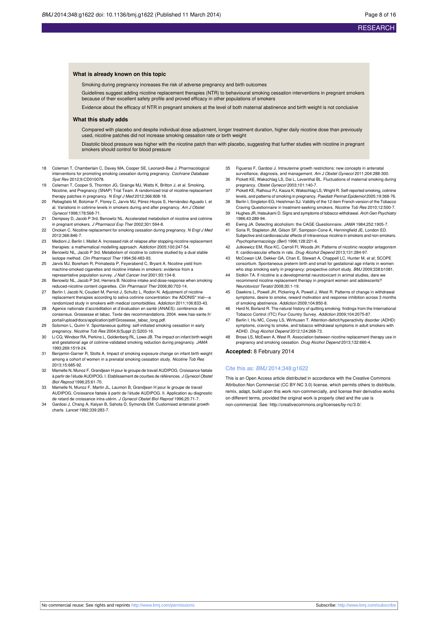#### **What is already known on this topic**

Smoking during pregnancy increases the risk of adverse pregnancy and birth outcomes

Guidelines suggest adding nicotine replacement therapies (NTR) to behavioural smoking cessation interventions in pregnant smokers because of their excellent safety profile and proved efficacy in other populations of smokers

Evidence about the efficacy of NTR in pregnant smokers at the level of both maternal abstinence and birth weight is not conclusive

#### **What this study adds**

Compared with placebo and despite individual dose adjustment, longer treatment duration, higher daily nicotine dose than previously used, nicotine patches did not increase smoking cessation rate or birth weight

Diastolic blood pressure was higher with the nicotine patch than with placebo, suggesting that further studies with nicotine in pregnant smokers should control for blood pressure

- 18 Coleman T, Chamberlain C, Davey MA, Cooper SE, Leonardi-Bee J. Pharmacological interventions for promoting smoking cessation during pregnancy. Cochrane Database Syst Rev 2012;9:CD010078.
- 19 Coleman T, Cooper S, Thornton JG, Grainge MJ, Watts K, Britton J, et al. Smoking, Nicotine, and Pregnancy (SNAP) Trial Team. A randomized trial of nicotine-replacement therapy patches in pregnancy. N Engl J Med 2012;366:808-18.
- 20 Rebagliato M, Bolúmar F, Florey C, Jarvis MJ, Pérez-Hoyos S, Hernández-Aguado I, et al. Variations in cotinine levels in smokers during and after pregnancy. Am J Obstet Gynecol 1998;178:568-71.
- 21 Dempsey D, Jacob P 3rd, Benowitz NL. Accelerated metabolism of nicotine and cotinine in pregnant smokers. J Pharmacol Exp Ther 2002;301:594-8.
- 22 Oncken C. Nicotine replacement for smoking cessation during pregnancy. N Engl J Med 2012;366:846-7.
- 23 Medioni J, Berlin I, Mallet A. Increased risk of relapse after stopping nicotine replacement therapies: a mathematical modelling approach. Addiction 2005;100:247-54.
- 24 Benowitz NL, Jacob P 3rd. Metabolism of nicotine to cotinine studied by a dual stable isotope method. Clin Pharmacol Ther 1994;56:483-93.
- 25 Jarvis MJ, Boreham R, Primatesta P, Feyerabend C, Bryant A. Nicotine yield from machine-smoked cigarettes and nicotine intakes in smokers: evidence from a representative population survey. J Natl Cancer Inst 2001;93:134-8.
- 26 Benowitz NL, Jacob P 3rd, Herrera B. Nicotine intake and dose-response when smoking reduced-nicotine content cigarettes. Clin Pharmacol Ther 2006;80:703-14.
- 27 Berlin I, Jacob N, Coudert M, Perriot J, Schultz L, Rodon N. Adjustment of nicotine replacement therapies according to saliva cotinine concentration: the ADONIS\* trial—a randomized study in smokers with medical comorbidities. Addiction 2011;106:833-43.
- 28 Agence nationale d'accréditation et d'évaluation en santé (ANAES): conférence de consensus. Grossesse et tabac. Texte des recommandations. 2004. [www.has-sante.fr/](http://www.has-sante.fr/portail/upload/docs/application/pdf/Grossesse_tabac_long.pdf) [portail/upload/docs/application/pdf/Grossesse\\_tabac\\_long.pdf](http://www.has-sante.fr/portail/upload/docs/application/pdf/Grossesse_tabac_long.pdf).
- Solomon L, Quinn V. Spontaneous quitting: self-initiated smoking cessation in early regnancy. Nicotine Tob Res 2004;6(Suppl 2):S203-16.
- 30 Li CQ, Windsor RA, Perkins L, Goldenberg RL, Lowe JB. The impact on infant birth weight and gestational age of cotinine-validated smoking reduction during pregnancy. JAMA 1993;269:1519-24.
- 31 Benjamin-Garner R, Stotts A. Impact of smoking exposure change on infant birth weight among a cohort of women in a prenatal smoking cessation study. Nicotine Tob Res 2013;15:685-92.
- 32 Mamelle N, Munoz F, Grandjean H pour le groupe de travail AUDIPOG. Croissance fœtale à partir de l'étude AUDIPOG. I. Etablissement de courbes de références. J Gynecol Obstet Biol Reprod 1996;25:61-70.
- 33 Mamelle N, Munoz F, Martin JL, Laumon B, Grandjean H pour le groupe de travail AUDIPOG. Croissance fœtale à partir de l'étude AUDIPOG. II. Application au diagnostic<br>de retard de croissance intra-utérin. *J Gynecol Obstet Biol Reprod* 1996;25:71-7.
- 34 Gardosi J, Chang A, Kalyan B, Sahota D, Symonds EM. Customised antenatal growth charts. Lancet 1992;339:283-7.
- 35 Figueras F, Gardosi J. Intrauterine growth restrictions: new concepts in antenatal surveillance, diagnosis, and management. Am J Obstet Gynecol 2011;204:288-300.
- 36 Pickett KE, Wakschlag LS, Dai L, Leventhal BL. Fluctuations of maternal smoking during pregnancy. Obstet Gynecol 2003:101:140-7
- 37 Pickett KE, Rathouz PJ, Kasza K, Wakschlag LS, Wright R. Self-reported smoking, cotinine levels, and patterns of smoking in pregnancy. Paediatr Perinat Epidemiol 2005;19:368-76.
- 38 Berlin I, Singleton EG, Heishman SJ. Validity of the 12-item French version of the Tobacco Craving Questionnaire in treatment-seeking smokers. Nicotine Tob Res 2010;12:500-7.
- 39 Hughes JR, Hatsukami D. Signs and symptoms of tobacco withdrawal. Arch Gen Psychiatry 1986;43:289-94.
- 40 Ewing JA. Detecting alcoholism: the CAGE Questionnaire. JAMA 1984;252:1905-7.
- 41 Soria R, Stapleton JM, Gilson SF, Sampson-Cone A, Henningfield JE, London ED. Subjective and cardiovascular effects of intravenous nicotine in smokers and non-smokers. Psychopharmacology (Berl) 1996;128:221-6.
- 42 Jutkiewicz EM, Rice KC, Carroll FI, Woods JH. Patterns of nicotinic receptor antagonism II: cardiovascular effects in rats. Drug Alcohol Depend 2013;131:284-97. 43 McCowan LM, Dekker GA, Chan E, Stewart A, Chappell LC, Hunter M, et al; SCOPE
- consortium. Spontaneous preterm birth and small for gestational age infants in wo who stop smoking early in pregnancy: prospective cohort study. BMJ 2009;338:b1081.
- 44 Slotkin TA. If nicotine is a developmental neurotoxicant in animal studies, dare we recommend nicotine replacement therapy in pregnant women and adole Neurotoxicol Teratol 2008;30:1-19.
- 45 Dawkins L, Powell JH, Pickering A, Powell J, West R. Patterns of change in withdrawal symptoms, desire to smoke, reward motivation and response inhibition across 3 months of smoking abstinence. Addiction 2009;104:850-8.
- 46 Herd N, Borland R. The natural history of quitting smoking: findings from the International Tobacco Control (ITC) Four Country Survey. Addiction 2009;104:2075-87.
- 47 Berlin I, Hu MC, Covey LS, Winhusen T. Attention-deficit/hyperactivity disorder (ADHD) symptoms, craving to smoke, and tobacco withdrawal symptoms in adult smokers with ADHD. Drug Alcohol Depend 2012;124:268-73.
- 48 Brose LS, McEwen A, West R. Association between nicotine replacement therapy use in pregnancy and smoking cessation. Drug Alcohol Depend 2013;132:660-4.

#### **Accepted:** 8 February 2014

#### Cite this as: BMJ 2014;348:g1622

This is an Open Access article distributed in accordance with the Creative Commons Attribution Non Commercial (CC BY-NC 3.0) license, which permits others to distribute, remix, adapt, build upon this work non-commercially, and license their derivative works on different terms, provided the original work is properly cited and the use is non-commercial. See: <http://creativecommons.org/licenses/by-nc/3.0/>.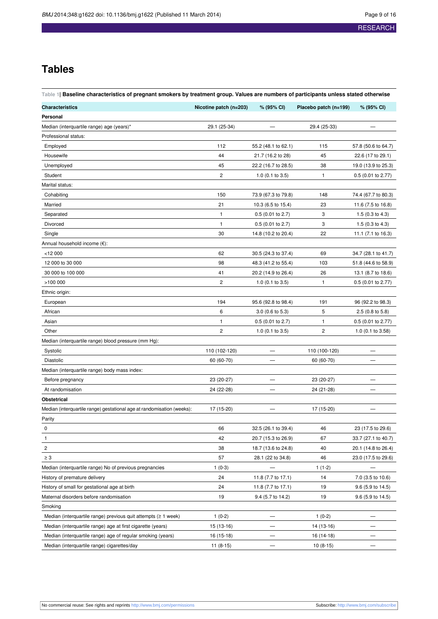## **Tables**

#### <span id="page-8-0"></span>Table 1| Baseline characteristics of pregnant smokers by treatment group. Values are numbers of participants unless stated otherwise

| <b>Characteristics</b>                                                 | Nicotine patch (n=203)  | % (95% CI)          | Placebo patch (n=199) | % (95% CI)                   |
|------------------------------------------------------------------------|-------------------------|---------------------|-----------------------|------------------------------|
| Personal                                                               |                         |                     |                       |                              |
| Median (interquartile range) age (years)*                              | 29.1 (25-34)            |                     | 29.4 (25-33)          |                              |
| Professional status:                                                   |                         |                     |                       |                              |
| Employed                                                               | 112                     | 55.2 (48.1 to 62.1) | 115                   | 57.8 (50.6 to 64.7)          |
| Housewife                                                              | 44                      | 21.7 (16.2 to 28)   | 45                    | 22.6 (17 to 29.1)            |
| Unemployed                                                             | 45                      | 22.2 (16.7 to 28.5) | 38                    | 19.0 (13.9 to 25.3)          |
| Student                                                                | 2                       | $1.0$ (0.1 to 3.5)  | 1                     | $0.5(0.01)$ to 2.77)         |
| Marital status:                                                        |                         |                     |                       |                              |
| Cohabiting                                                             | 150                     | 73.9 (67.3 to 79.8) | 148                   | 74.4 (67.7 to 80.3)          |
| Married                                                                | 21                      | 10.3 (6.5 to 15.4)  | 23                    | 11.6 (7.5 to 16.8)           |
| Separated                                                              | 1                       | $0.5(0.01)$ to 2.7) | 3                     | 1.5 $(0.3$ to 4.3)           |
| Divorced                                                               | 1                       | 0.5(0.01 to 2.7)    | 3                     | 1.5 (0.3 to 4.3)             |
| Single                                                                 | 30                      | 14.8 (10.2 to 20.4) | 22                    | 11.1 (7.1 to 16.3)           |
| Annual household income (€):                                           |                         |                     |                       |                              |
| $<$ 12 000                                                             | 62                      | 30.5 (24.3 to 37.4) | 69                    | 34.7 (28.1 to 41.7)          |
| 12 000 to 30 000                                                       | 98                      | 48.3 (41.2 to 55.4) | 103                   | 51.8 (44.6 to 58.9)          |
| 30 000 to 100 000                                                      | 41                      | 20.2 (14.9 to 26.4) | 26                    | 13.1 (8.7 to 18.6)           |
| >100 000                                                               | $\overline{c}$          | 1.0 $(0.1$ to 3.5)  | 1                     | 0.5 (0.01 to 2.77)           |
| Ethnic origin:                                                         |                         |                     |                       |                              |
| European                                                               | 194                     | 95.6 (92.8 to 98.4) | 191                   | 96 (92.2 to 98.3)            |
| African                                                                | 6                       | 3.0 (0.6 to 5.3)    | 5                     | 2.5 (0.8 to 5.8)             |
| Asian                                                                  | 1                       | $0.5(0.01)$ to 2.7) | $\mathbf{1}$          | $0.5(0.01)$ to 2.77)         |
| Other                                                                  | $\overline{\mathbf{c}}$ | 1.0 $(0.1$ to 3.5)  | 2                     | 1.0 $(0.1 \text{ to } 3.58)$ |
| Median (interquartile range) blood pressure (mm Hg):                   |                         |                     |                       |                              |
| Systolic                                                               | 110 (102-120)           |                     | 110 (100-120)         |                              |
| Diastolic                                                              | 60 (60-70)              |                     | 60 (60-70)            |                              |
| Median (interquartile range) body mass index:                          |                         |                     |                       |                              |
| Before pregnancy                                                       | 23 (20-27)              |                     | 23 (20-27)            |                              |
| At randomisation                                                       | 24 (22-28)              |                     | 24 (21-28)            |                              |
| Obstetrical                                                            |                         |                     |                       |                              |
| Median (interquartile range) gestational age at randomisation (weeks): | 17 (15-20)              |                     | 17 (15-20)            |                              |
| Parity                                                                 |                         |                     |                       |                              |
| 0                                                                      | 66                      | 32.5 (26.1 to 39.4) | 46                    | 23 (17.5 to 29.6)            |
| 1                                                                      | 42                      | 20.7 (15.3 to 26.9) | 67                    | 33.7 (27.1 to 40.7)          |
| 2                                                                      | 38                      | 18.7 (13.6 to 24.8) | 40                    | 20.1 (14.8 to 26.4)          |
| $\geq 3$                                                               | 57                      | 28.1 (22 to 34.8)   | 46                    | 23.0 (17.5 to 29.6)          |
| Median (interquartile range) No of previous pregnancies                | $1(0-3)$                |                     | $1(1-2)$              |                              |
| History of premature delivery                                          | 24                      | 11.8 (7.7 to 17.1)  | 14                    | 7.0 (3.5 to 10.6)            |
| History of small for gestational age at birth                          | 24                      | 11.8 (7.7 to 17.1)  | 19                    | $9.6$ (5.9 to 14.5)          |
| Maternal disorders before randomisation                                | 19                      | 9.4 (5.7 to 14.2)   | 19                    | 9.6 (5.9 to 14.5)            |
| Smoking                                                                |                         |                     |                       |                              |
| Median (interquartile range) previous quit attempts $( \geq 1$ week)   | $1(0-2)$                |                     | $1(0-2)$              |                              |
| Median (interquartile range) age at first cigarette (years)            | 15 (13-16)              |                     | 14 (13-16)            |                              |
| Median (interquartile range) age of regular smoking (years)            | 16 (15-18)              |                     | 16 (14-18)            |                              |
| Median (interquartile range) cigarettes/day                            | $11(8-15)$              |                     | $10(8-15)$            |                              |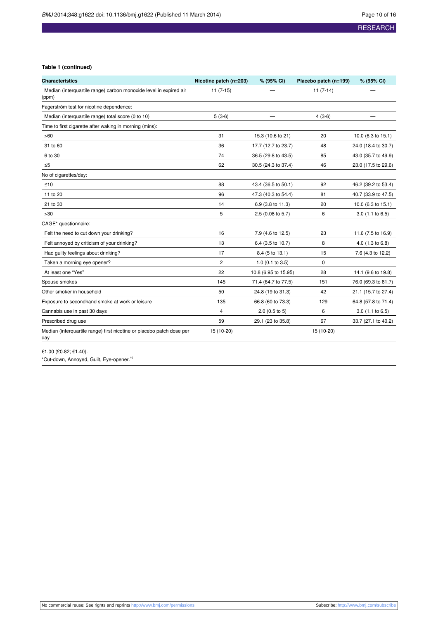#### **Table 1 (continued)**

| <b>Characteristics</b>                                                       | Nicotine patch (n=203) | % (95% CI)           | Placebo patch (n=199) | % (95% CI)          |
|------------------------------------------------------------------------------|------------------------|----------------------|-----------------------|---------------------|
| Median (interquartile range) carbon monoxide level in expired air<br>(ppm)   | $11(7-15)$             |                      | $11(7-14)$            |                     |
| Fagerström test for nicotine dependence:                                     |                        |                      |                       |                     |
| Median (interquartile range) total score (0 to 10)                           | $5(3-6)$               |                      | $4(3-6)$              |                     |
| Time to first cigarette after waking in morning (mins):                      |                        |                      |                       |                     |
| >60                                                                          | 31                     | 15.3 (10.6 to 21)    | 20                    | 10.0 (6.3 to 15.1)  |
| 31 to 60                                                                     | 36                     | 17.7 (12.7 to 23.7)  | 48                    | 24.0 (18.4 to 30.7) |
| 6 to 30                                                                      | 74                     | 36.5 (29.8 to 43.5)  | 85                    | 43.0 (35.7 to 49.9) |
| $\leq 5$                                                                     | 62                     | 30.5 (24.3 to 37.4)  | 46                    | 23.0 (17.5 to 29.6) |
| No of cigarettes/day:                                                        |                        |                      |                       |                     |
| $\leq 10$                                                                    | 88                     | 43.4 (36.5 to 50.1)  | 92                    | 46.2 (39.2 to 53.4) |
| 11 to 20                                                                     | 96                     | 47.3 (40.3 to 54.4)  | 81                    | 40.7 (33.9 to 47.5) |
| 21 to 30                                                                     | 14                     | 6.9 (3.8 to 11.3)    | 20                    | 10.0 (6.3 to 15.1)  |
| >30                                                                          | 5                      | 2.5 (0.08 to 5.7)    | 6                     | $3.0$ (1.1 to 6.5)  |
| CAGE* questionnaire:                                                         |                        |                      |                       |                     |
| Felt the need to cut down your drinking?                                     | 16                     | 7.9 (4.6 to 12.5)    | 23                    | 11.6 (7.5 to 16.9)  |
| Felt annoyed by criticism of your drinking?                                  | 13                     | 6.4 (3.5 to 10.7)    | 8                     | 4.0 (1.3 to 6.8)    |
| Had guilty feelings about drinking?                                          | 17                     | 8.4 (5 to 13.1)      | 15                    | 7.6 (4.3 to 12.2)   |
| Taken a morning eye opener?                                                  | $\overline{c}$         | $1.0$ (0.1 to 3.5)   | $\mathbf 0$           |                     |
| At least one "Yes"                                                           | 22                     | 10.8 (6.95 to 15.95) | 28                    | 14.1 (9.6 to 19.8)  |
| Spouse smokes                                                                | 145                    | 71.4 (64.7 to 77.5)  | 151                   | 76.0 (69.3 to 81.7) |
| Other smoker in household                                                    | 50                     | 24.8 (19 to 31.3)    | 42                    | 21.1 (15.7 to 27.4) |
| Exposure to secondhand smoke at work or leisure                              | 135                    | 66.8 (60 to 73.3)    | 129                   | 64.8 (57.8 to 71.4) |
| Cannabis use in past 30 days                                                 | 4                      | $2.0$ (0.5 to 5)     | 6                     | 3.0 (1.1 to 6.5)    |
| Prescribed drug use                                                          | 59                     | 29.1 (23 to 35.8)    | 67                    | 33.7 (27.1 to 40.2) |
| Median (interquartile range) first nicotine or placebo patch dose per<br>day | 15 (10-20)             |                      | 15 (10-20)            |                     |

€1.00 (£0.82; €1.40). \*Cut-down, Annoyed, Guilt, Eye-opener.<sup>40</sup>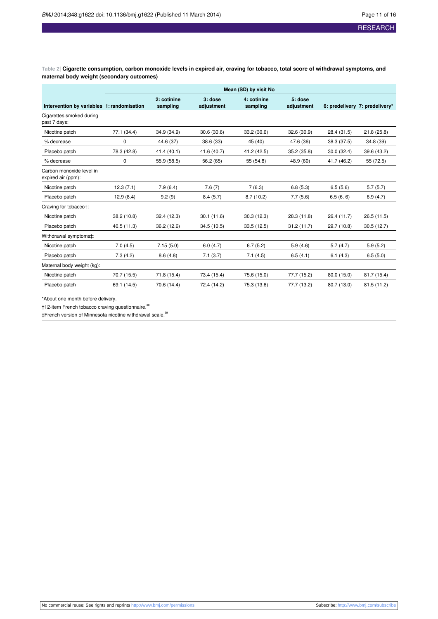<span id="page-10-0"></span>Table 2| Cigarette consumption, carbon monoxide levels in expired air, craving for tobacco, total score of withdrawal symptoms, and **maternal body weight (secondary outcomes)**

|                                                | Mean (SD) by visit No |                         |                       |                         |                       |             |                                |
|------------------------------------------------|-----------------------|-------------------------|-----------------------|-------------------------|-----------------------|-------------|--------------------------------|
| Intervention by variables 1: randomisation     |                       | 2: cotinine<br>sampling | 3: dose<br>adjustment | 4: cotinine<br>sampling | 5: dose<br>adjustment |             | 6: predelivery 7: predelivery* |
| Cigarettes smoked during<br>past 7 days:       |                       |                         |                       |                         |                       |             |                                |
| Nicotine patch                                 | 77.1 (34.4)           | 34.9 (34.9)             | 30.6 (30.6)           | 33.2 (30.6)             | 32.6 (30.9)           | 28.4 (31.5) | 21.8(25.8)                     |
| % decrease                                     | 0                     | 44.6 (37)               | 38.6 (33)             | 45 (40)                 | 47.6 (36)             | 38.3 (37.5) | 34.8 (39)                      |
| Placebo patch                                  | 78.3 (42.8)           | 41.4 (40.1)             | 41.6 (40.7)           | 41.2 (42.5)             | 35.2 (35.8)           | 30.0(32.4)  | 39.6 (43.2)                    |
| % decrease                                     | 0                     | 55.9 (58.5)             | 56.2(65)              | 55 (54.8)               | 48.9 (60)             | 41.7 (46.2) | 55 (72.5)                      |
| Carbon monoxide level in<br>expired air (ppm): |                       |                         |                       |                         |                       |             |                                |
| Nicotine patch                                 | 12.3(7.1)             | 7.9(6.4)                | 7.6(7)                | 7(6.3)                  | 6.8(5.3)              | 6.5(5.6)    | 5.7(5.7)                       |
| Placebo patch                                  | 12.9(8.4)             | 9.2(9)                  | 8.4(5.7)              | 8.7(10.2)               | 7.7(5.6)              | 6.5(6.6)    | 6.9(4.7)                       |
| Craving for tobacco†:                          |                       |                         |                       |                         |                       |             |                                |
| Nicotine patch                                 | 38.2 (10.8)           | 32.4 (12.3)             | 30.1(11.6)            | 30.3(12.3)              | 28.3 (11.8)           | 26.4 (11.7) | 26.5 (11.5)                    |
| Placebo patch                                  | 40.5 (11.3)           | 36.2 (12.6)             | 34.5 (10.5)           | 33.5(12.5)              | 31.2(11.7)            | 29.7 (10.8) | 30.5(12.7)                     |
| Withdrawal symptoms‡:                          |                       |                         |                       |                         |                       |             |                                |
| Nicotine patch                                 | 7.0(4.5)              | 7.15(5.0)               | 6.0(4.7)              | 6.7(5.2)                | 5.9(4.6)              | 5.7(4.7)    | 5.9(5.2)                       |
| Placebo patch                                  | 7.3(4.2)              | 8.6(4.8)                | 7.1(3.7)              | 7.1(4.5)                | 6.5(4.1)              | 6.1(4.3)    | 6.5(5.0)                       |
| Maternal body weight (kg):                     |                       |                         |                       |                         |                       |             |                                |
| Nicotine patch                                 | 70.7 (15.5)           | 71.8 (15.4)             | 73.4 (15.4)           | 75.6 (15.0)             | 77.7 (15.2)           | 80.0 (15.0) | 81.7 (15.4)                    |
| Placebo patch                                  | 69.1 (14.5)           | 70.6 (14.4)             | 72.4 (14.2)           | 75.3 (13.6)             | 77.7 (13.2)           | 80.7 (13.0) | 81.5 (11.2)                    |

\*About one month before delivery.

 $\dagger$ 12-item French tobacco craving questionnaire.  $^{38}$ 

 $\uparrow$ French version of Minnesota nicotine withdrawal scale.  $^{39}$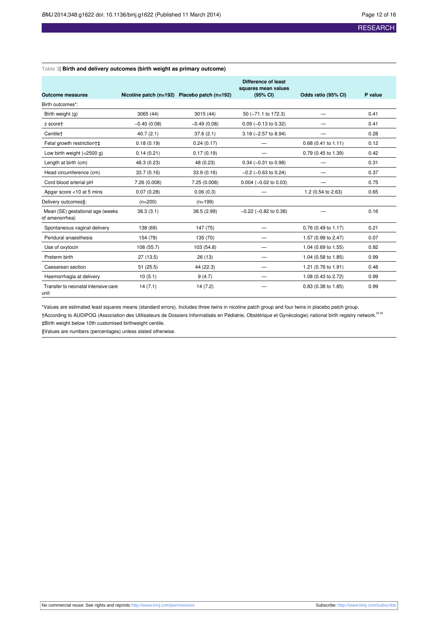|                                                    |               |                                                  | <b>Difference of least</b>      |                       |         |
|----------------------------------------------------|---------------|--------------------------------------------------|---------------------------------|-----------------------|---------|
| <b>Outcome measures</b>                            |               | Nicotine patch $(n=192)$ Placebo patch $(n=192)$ | squares mean values<br>(95% CI) | Odds ratio (95% CI)   | P value |
| Birth outcomes*:                                   |               |                                                  |                                 |                       |         |
| Birth weight (g)                                   | 3065 (44)     | 3015 (44)                                        | 50 (-71.1 to 172.3)             |                       | 0.41    |
| z scoret                                           | $-0.40(0.08)$ | $-0.49(0.08)$                                    | $0.09$ (-0.13 to 0.32)          |                       | 0.41    |
| Centile <sup>+</sup>                               | 40.7(2.1)     | 37.6(2.1)                                        | 3.18 (-2.57 to 8.94)            |                       | 0.28    |
| Fetal growth restriction†‡                         | 0.18(0.19)    | 0.24(0.17)                                       |                                 | $0.68$ (0.41 to 1.11) | 0.12    |
| Low birth weight $(<2500 g)$                       | 0.14(0.21)    | 0.17(0.19)                                       |                                 | 0.79 (0.45 to 1.39)   | 0.42    |
| Length at birth (cm)                               | 48.3 (0.23)   | 48 (0.23)                                        | $0.34$ (-0.31 to 0.98)          |                       | 0.31    |
| Head circumference (cm)                            | 33.7(0.16)    | 33.9(0.16)                                       | $-0.2$ ( $-0.63$ to 0.24)       |                       | 0.37    |
| Cord blood arterial pH                             | 7.26 (0.008)  | 7.25 (0.008)                                     | $0.004 (-0.02 to 0.03)$         |                       | 0.75    |
| Apgar score <10 at 5 mins                          | 0.07(0.28)    | 0.06(0.3)                                        |                                 | 1.2 (0.54 to 2.63)    | 0.65    |
| Delivery outcomes§:                                | $(n=200)$     | $(n=199)$                                        |                                 |                       |         |
| Mean (SE) gestational age (weeks<br>of amenorrhea) | 38.3(3.1)     | 38.5 (2.99)                                      | $-0.22$ ( $-0.82$ to 0.38)      |                       | 0.16    |
| Spontaneous vaginal delivery                       | 138 (69)      | 147 (75)                                         |                                 | 0.76 (0.49 to 1.17)   | 0.21    |
| Peridural anaesthesia                              | 154 (78)      | 135 (70)                                         |                                 | 1.57 (0.99 to 2.47)   | 0.07    |
| Use of oxytocin                                    | 108 (55.7)    | 103 (54.8)                                       |                                 | 1.04 (0.69 to 1.55)   | 0.92    |
| Preterm birth                                      | 27 (13.5)     | 26(13)                                           |                                 | 1.04 (0.58 to 1.85)   | 0.99    |
| Caesarean section                                  | 51(25.5)      | 44 (22.3)                                        |                                 | 1.21 (0.76 to 1.91)   | 0.48    |
| Haemorrhagia at delivery                           | 10(5.1)       | 9(4.7)                                           |                                 | 1.08 (0.43 to 2.72)   | 0.99    |
| Transfer to neonatal intensive care<br>unit        | 14(7.1)       | 14(7.2)                                          |                                 | 0.83 (0.38 to 1.85)   | 0.99    |

### <span id="page-11-0"></span>**Table 3| Birth and delivery outcomes (birth weight as primary outcome)**

\*Values are estimated least squares means (standard errors). Includes three twins in nicotine patch group and four twins in placebo patch group.

†According to AUDIPOG (Association des Utilisateurs de Dossiers Informatisés en Pédiatrie, Obstétrique et Gynécologie) national birth registry network.<sup>32</sup> <sup>33</sup> ‡Birth weight below 10th customised birthweight centile.

§Values are numbers (percentages) unless stated otherwise.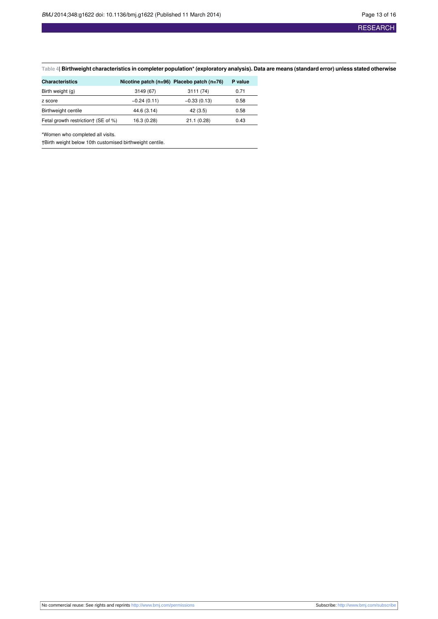<span id="page-12-0"></span>Table 4| Birthweight characteristics in completer population\* (exploratory analysis). Data are means (standard error) unless stated otherwise

| <b>Characteristics</b>               | Nicotine patch $(n=96)$ Placebo patch $(n=76)$ |               | P value |
|--------------------------------------|------------------------------------------------|---------------|---------|
| Birth weight (g)                     | 3149 (67)                                      | 3111 (74)     | 0.71    |
| z score                              | $-0.24(0.11)$                                  | $-0.33(0.13)$ | 0.58    |
| Birthweight centile                  | 44.6 (3.14)                                    | 42 (3.5)      | 0.58    |
| Fetal growth restriction + (SE of %) | 16.3 (0.28)                                    | 21.1(0.28)    | 0.43    |

\*Women who completed all visits.

†Birth weight below 10th customised birthweight centile.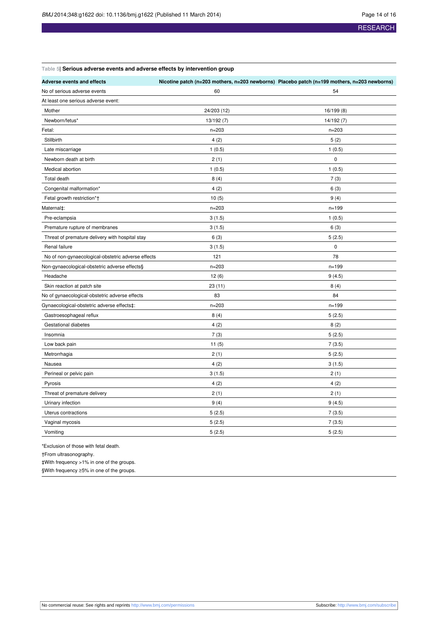<span id="page-13-0"></span>**Table 5| Serious adverse events and adverse effects by intervention group**

| <b>Adverse events and effects</b>                  |             | Nicotine patch (n=203 mothers, n=203 newborns) Placebo patch (n=199 mothers, n=203 newborns) |
|----------------------------------------------------|-------------|----------------------------------------------------------------------------------------------|
| No of serious adverse events                       | 60          | 54                                                                                           |
| At least one serious adverse event:                |             |                                                                                              |
| Mother                                             | 24/203 (12) | 16/199 (8)                                                                                   |
| Newborn/fetus*                                     | 13/192 (7)  | 14/192 (7)                                                                                   |
| Fetal:                                             | $n = 203$   | $n = 203$                                                                                    |
| Stillbirth                                         | 4(2)        | 5(2)                                                                                         |
| Late miscarriage                                   | 1(0.5)      | 1(0.5)                                                                                       |
| Newborn death at birth                             | 2(1)        | $\pmb{0}$                                                                                    |
| Medical abortion                                   | 1(0.5)      | 1(0.5)                                                                                       |
| Total death                                        | 8(4)        | 7(3)                                                                                         |
| Congenital malformation*                           | 4(2)        | 6(3)                                                                                         |
| Fetal growth restriction*†                         | 10(5)       | 9(4)                                                                                         |
| Maternal‡:                                         | $n = 203$   | $n = 199$                                                                                    |
| Pre-eclampsia                                      | 3(1.5)      | 1(0.5)                                                                                       |
| Premature rupture of membranes                     | 3(1.5)      | 6(3)                                                                                         |
| Threat of premature delivery with hospital stay    | 6(3)        | 5(2.5)                                                                                       |
| Renal failure                                      | 3(1.5)      | $\mathbf 0$                                                                                  |
| No of non-gynaecological-obstetric adverse effects | 121         | 78                                                                                           |
| Non-gynaecological-obstetric adverse effects§      | $n = 203$   | $n = 199$                                                                                    |
| Headache                                           | 12(6)       | 9(4.5)                                                                                       |
| Skin reaction at patch site                        | 23(11)      | 8(4)                                                                                         |
| No of gynaecological-obstetric adverse effects     | 83          | 84                                                                                           |
| Gynaecological-obstetric adverse effects‡:         | $n = 203$   | $n = 199$                                                                                    |
| Gastroesophageal reflux                            | 8(4)        | 5(2.5)                                                                                       |
| Gestational diabetes                               | 4(2)        | 8(2)                                                                                         |
| Insomnia                                           | 7(3)        | 5(2.5)                                                                                       |
| Low back pain                                      | 11(5)       | 7(3.5)                                                                                       |
| Metrorrhagia                                       | 2(1)        | 5(2.5)                                                                                       |
| Nausea                                             | 4(2)        | 3(1.5)                                                                                       |
| Perineal or pelvic pain                            | 3(1.5)      | 2(1)                                                                                         |
| Pyrosis                                            | 4(2)        | 4(2)                                                                                         |
| Threat of premature delivery                       | 2(1)        | 2(1)                                                                                         |
| Urinary infection                                  | 9(4)        | 9(4.5)                                                                                       |
| Uterus contractions                                | 5(2.5)      | 7(3.5)                                                                                       |
| Vaginal mycosis                                    | 5(2.5)      | 7(3.5)                                                                                       |
| Vomiting                                           | 5(2.5)      | 5(2.5)                                                                                       |

\*Exclusion of those with fetal death.

†From ultrasonography.

‡With frequency >1% in one of the groups.

§With frequency ≥5% in one of the groups.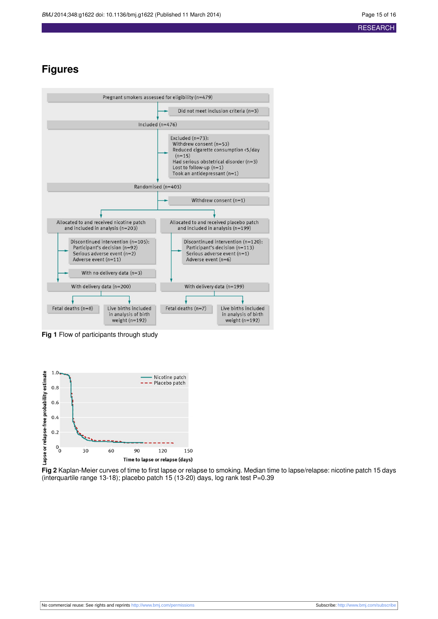## **Figures**

<span id="page-14-0"></span>

<span id="page-14-1"></span>**Fig 1** Flow of participants through study



**Fig 2** Kaplan-Meier curves of time to first lapse or relapse to smoking. Median time to lapse/relapse: nicotine patch 15 days (interquartile range 13-18); placebo patch 15 (13-20) days, log rank test P=0.39